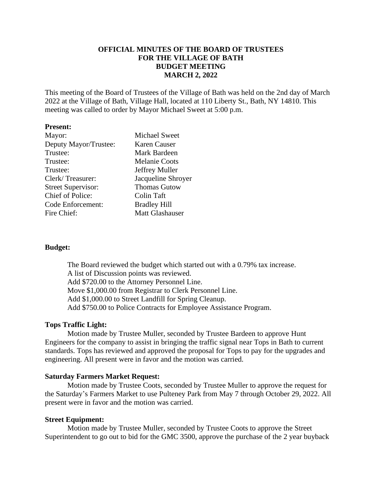# **OFFICIAL MINUTES OF THE BOARD OF TRUSTEES FOR THE VILLAGE OF BATH BUDGET MEETING MARCH 2, 2022**

This meeting of the Board of Trustees of the Village of Bath was held on the 2nd day of March 2022 at the Village of Bath, Village Hall, located at 110 Liberty St., Bath, NY 14810. This meeting was called to order by Mayor Michael Sweet at 5:00 p.m.

### **Present:**

| <b>Michael Sweet</b>   |
|------------------------|
| Karen Causer           |
| Mark Bardeen           |
| <b>Melanie Coots</b>   |
| Jeffrey Muller         |
| Jacqueline Shroyer     |
| <b>Thomas Gutow</b>    |
| Colin Taft             |
| <b>Bradley Hill</b>    |
| <b>Matt Glashauser</b> |
|                        |

### **Budget:**

The Board reviewed the budget which started out with a 0.79% tax increase. A list of Discussion points was reviewed. Add \$720.00 to the Attorney Personnel Line. Move \$1,000.00 from Registrar to Clerk Personnel Line. Add \$1,000.00 to Street Landfill for Spring Cleanup. Add \$750.00 to Police Contracts for Employee Assistance Program.

#### **Tops Traffic Light:**

Motion made by Trustee Muller, seconded by Trustee Bardeen to approve Hunt Engineers for the company to assist in bringing the traffic signal near Tops in Bath to current standards. Tops has reviewed and approved the proposal for Tops to pay for the upgrades and engineering. All present were in favor and the motion was carried.

#### **Saturday Farmers Market Request:**

Motion made by Trustee Coots, seconded by Trustee Muller to approve the request for the Saturday's Farmers Market to use Pulteney Park from May 7 through October 29, 2022. All present were in favor and the motion was carried.

#### **Street Equipment:**

Motion made by Trustee Muller, seconded by Trustee Coots to approve the Street Superintendent to go out to bid for the GMC 3500, approve the purchase of the 2 year buyback